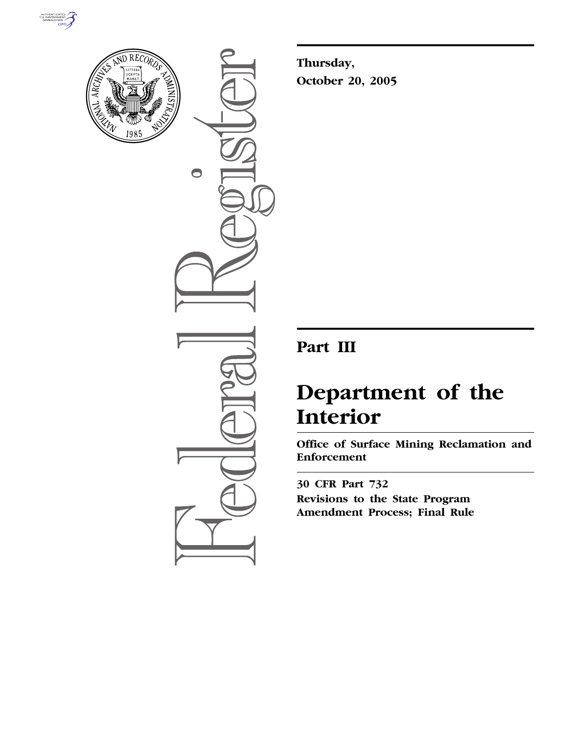



 $\bigcirc$ 

**Thursday, October 20, 2005** 

# **Part III**

# **Department of the Interior**

**Office of Surface Mining Reclamation and Enforcement** 

**30 CFR Part 732 Revisions to the State Program Amendment Process; Final Rule**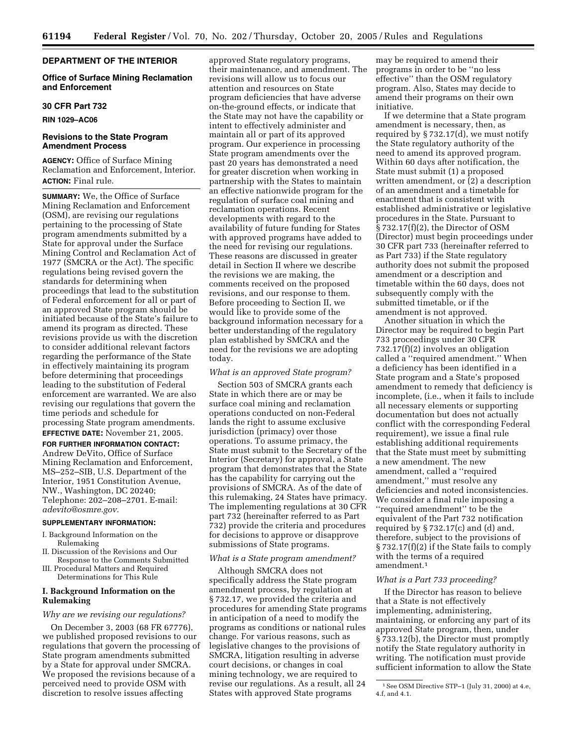# **DEPARTMENT OF THE INTERIOR**

#### **Office of Surface Mining Reclamation and Enforcement**

#### **30 CFR Part 732**

**RIN 1029–AC06** 

# **Revisions to the State Program Amendment Process**

**AGENCY:** Office of Surface Mining Reclamation and Enforcement, Interior. **ACTION:** Final rule.

**SUMMARY:** We, the Office of Surface Mining Reclamation and Enforcement (OSM), are revising our regulations pertaining to the processing of State program amendments submitted by a State for approval under the Surface Mining Control and Reclamation Act of 1977 (SMCRA or the Act). The specific regulations being revised govern the standards for determining when proceedings that lead to the substitution of Federal enforcement for all or part of an approved State program should be initiated because of the State's failure to amend its program as directed. These revisions provide us with the discretion to consider additional relevant factors regarding the performance of the State in effectively maintaining its program before determining that proceedings leading to the substitution of Federal enforcement are warranted. We are also revising our regulations that govern the time periods and schedule for processing State program amendments. **EFFECTIVE DATE:** November 21, 2005.

#### **FOR FURTHER INFORMATION CONTACT:**

Andrew DeVito, Office of Surface Mining Reclamation and Enforcement, MS–252–SIB, U.S. Department of the Interior, 1951 Constitution Avenue, NW., Washington, DC 20240; Telephone: 202–208–2701. E-mail: *adevito@osmre.gov.* 

# **SUPPLEMENTARY INFORMATION:**

- I. Background Information on the Rulemaking
- II. Discussion of the Revisions and Our Response to the Comments Submitted
- III. Procedural Matters and Required Determinations for This Rule

# **I. Background Information on the Rulemaking**

#### *Why are we revising our regulations?*

On December 3, 2003 (68 FR 67776), we published proposed revisions to our regulations that govern the processing of State program amendments submitted by a State for approval under SMCRA. We proposed the revisions because of a perceived need to provide OSM with discretion to resolve issues affecting

approved State regulatory programs, their maintenance, and amendment. The revisions will allow us to focus our attention and resources on State program deficiencies that have adverse on-the-ground effects, or indicate that the State may not have the capability or intent to effectively administer and maintain all or part of its approved program. Our experience in processing State program amendments over the past 20 years has demonstrated a need for greater discretion when working in partnership with the States to maintain an effective nationwide program for the regulation of surface coal mining and reclamation operations. Recent developments with regard to the availability of future funding for States with approved programs have added to the need for revising our regulations. These reasons are discussed in greater detail in Section II where we describe the revisions we are making, the comments received on the proposed revisions, and our response to them. Before proceeding to Section II, we would like to provide some of the background information necessary for a better understanding of the regulatory plan established by SMCRA and the need for the revisions we are adopting today.

#### *What is an approved State program?*

Section 503 of SMCRA grants each State in which there are or may be surface coal mining and reclamation operations conducted on non-Federal lands the right to assume exclusive jurisdiction (primacy) over those operations. To assume primacy, the State must submit to the Secretary of the Interior (Secretary) for approval, a State program that demonstrates that the State has the capability for carrying out the provisions of SMCRA. As of the date of this rulemaking, 24 States have primacy. The implementing regulations at 30 CFR part 732 (hereinafter referred to as Part 732) provide the criteria and procedures for decisions to approve or disapprove submissions of State programs.

# *What is a State program amendment?*

Although SMCRA does not specifically address the State program amendment process, by regulation at § 732.17, we provided the criteria and procedures for amending State programs in anticipation of a need to modify the programs as conditions or national rules change. For various reasons, such as legislative changes to the provisions of SMCRA, litigation resulting in adverse court decisions, or changes in coal mining technology, we are required to revise our regulations. As a result, all 24 States with approved State programs

may be required to amend their programs in order to be ''no less effective'' than the OSM regulatory program. Also, States may decide to amend their programs on their own initiative.

If we determine that a State program amendment is necessary, then, as required by § 732.17(d), we must notify the State regulatory authority of the need to amend its approved program. Within 60 days after notification, the State must submit (1) a proposed written amendment, or (2) a description of an amendment and a timetable for enactment that is consistent with established administrative or legislative procedures in the State. Pursuant to § 732.17(f)(2), the Director of OSM (Director) must begin proceedings under 30 CFR part 733 (hereinafter referred to as Part 733) if the State regulatory authority does not submit the proposed amendment or a description and timetable within the 60 days, does not subsequently comply with the submitted timetable, or if the amendment is not approved.

Another situation in which the Director may be required to begin Part 733 proceedings under 30 CFR 732.17(f)(2) involves an obligation called a ''required amendment.'' When a deficiency has been identified in a State program and a State's proposed amendment to remedy that deficiency is incomplete, (i.e., when it fails to include all necessary elements or supporting documentation but does not actually conflict with the corresponding Federal requirement), we issue a final rule establishing additional requirements that the State must meet by submitting a new amendment. The new amendment, called a ''required amendment,'' must resolve any deficiencies and noted inconsistencies. We consider a final rule imposing a ''required amendment'' to be the equivalent of the Part 732 notification required by  $\S 732.17(c)$  and (d) and, therefore, subject to the provisions of § 732.17(f)(2) if the State fails to comply with the terms of a required amendment.1

#### *What is a Part 733 proceeding?*

If the Director has reason to believe that a State is not effectively implementing, administering, maintaining, or enforcing any part of its approved State program, then, under § 733.12(b), the Director must promptly notify the State regulatory authority in writing. The notification must provide sufficient information to allow the State

<sup>1</sup>See OSM Directive STP–1 (July 31, 2000) at 4.e, 4.f, and 4.1.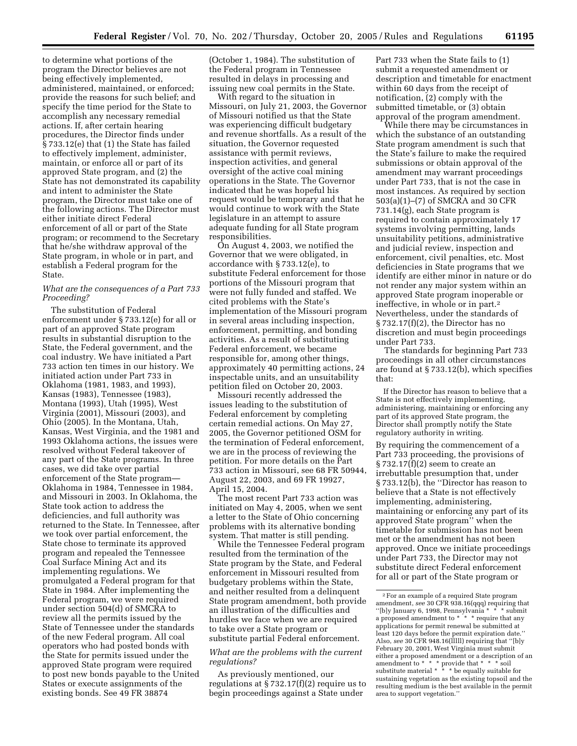to determine what portions of the program the Director believes are not being effectively implemented, administered, maintained, or enforced; provide the reasons for such belief; and specify the time period for the State to accomplish any necessary remedial actions. If, after certain hearing procedures, the Director finds under § 733.12(e) that (1) the State has failed to effectively implement, administer, maintain, or enforce all or part of its approved State program, and (2) the State has not demonstrated its capability and intent to administer the State program, the Director must take one of the following actions. The Director must either initiate direct Federal enforcement of all or part of the State program; or recommend to the Secretary that he/she withdraw approval of the State program, in whole or in part, and establish a Federal program for the State.

# *What are the consequences of a Part 733 Proceeding?*

The substitution of Federal enforcement under § 733.12(e) for all or part of an approved State program results in substantial disruption to the State, the Federal government, and the coal industry. We have initiated a Part 733 action ten times in our history. We initiated action under Part 733 in Oklahoma (1981, 1983, and 1993), Kansas (1983), Tennessee (1983), Montana (1993), Utah (1995), West Virginia (2001), Missouri (2003), and Ohio (2005). In the Montana, Utah, Kansas, West Virginia, and the 1981 and 1993 Oklahoma actions, the issues were resolved without Federal takeover of any part of the State programs. In three cases, we did take over partial enforcement of the State program— Oklahoma in 1984, Tennessee in 1984, and Missouri in 2003. In Oklahoma, the State took action to address the deficiencies, and full authority was returned to the State. In Tennessee, after we took over partial enforcement, the State chose to terminate its approved program and repealed the Tennessee Coal Surface Mining Act and its implementing regulations. We promulgated a Federal program for that State in 1984. After implementing the Federal program, we were required under section 504(d) of SMCRA to review all the permits issued by the State of Tennessee under the standards of the new Federal program. All coal operators who had posted bonds with the State for permits issued under the approved State program were required to post new bonds payable to the United States or execute assignments of the existing bonds. See 49 FR 38874

(October 1, 1984). The substitution of the Federal program in Tennessee resulted in delays in processing and issuing new coal permits in the State.

With regard to the situation in Missouri, on July 21, 2003, the Governor of Missouri notified us that the State was experiencing difficult budgetary and revenue shortfalls. As a result of the situation, the Governor requested assistance with permit reviews, inspection activities, and general oversight of the active coal mining operations in the State. The Governor indicated that he was hopeful his request would be temporary and that he would continue to work with the State legislature in an attempt to assure adequate funding for all State program responsibilities.

On August 4, 2003, we notified the Governor that we were obligated, in accordance with § 733.12(e), to substitute Federal enforcement for those portions of the Missouri program that were not fully funded and staffed. We cited problems with the State's implementation of the Missouri program in several areas including inspection, enforcement, permitting, and bonding activities. As a result of substituting Federal enforcement, we became responsible for, among other things, approximately 40 permitting actions, 24 inspectable units, and an unsuitability petition filed on October 20, 2003.

Missouri recently addressed the issues leading to the substitution of Federal enforcement by completing certain remedial actions. On May 27, 2005, the Governor petitioned OSM for the termination of Federal enforcement, we are in the process of reviewing the petition. For more details on the Part 733 action in Missouri, see 68 FR 50944, August 22, 2003, and 69 FR 19927, April 15, 2004.

The most recent Part 733 action was initiated on May 4, 2005, when we sent a letter to the State of Ohio concerning problems with its alternative bonding system. That matter is still pending.

While the Tennessee Federal program resulted from the termination of the State program by the State, and Federal enforcement in Missouri resulted from budgetary problems within the State, and neither resulted from a delinquent State program amendment, both provide an illustration of the difficulties and hurdles we face when we are required to take over a State program or substitute partial Federal enforcement.

*What are the problems with the current regulations?* 

As previously mentioned, our regulations at  $\S 732.17(f)(2)$  require us to begin proceedings against a State under

Part 733 when the State fails to (1) submit a requested amendment or description and timetable for enactment within 60 days from the receipt of notification, (2) comply with the submitted timetable, or (3) obtain approval of the program amendment.

While there may be circumstances in which the substance of an outstanding State program amendment is such that the State's failure to make the required submissions or obtain approval of the amendment may warrant proceedings under Part 733, that is not the case in most instances. As required by section 503(a)(1)–(7) of SMCRA and 30 CFR 731.14(g), each State program is required to contain approximately 17 systems involving permitting, lands unsuitability petitions, administrative and judicial review, inspection and enforcement, civil penalties, etc. Most deficiencies in State programs that we identify are either minor in nature or do not render any major system within an approved State program inoperable or ineffective, in whole or in part.2 Nevertheless, under the standards of § 732.17(f)(2), the Director has no discretion and must begin proceedings under Part 733.

The standards for beginning Part 733 proceedings in all other circumstances are found at § 733.12(b), which specifies that:

If the Director has reason to believe that a State is not effectively implementing, administering, maintaining or enforcing any part of its approved State program, the Director shall promptly notify the State regulatory authority in writing.

By requiring the commencement of a Part 733 proceeding, the provisions of § 732.17(f)(2) seem to create an irrebuttable presumption that, under § 733.12(b), the ''Director has reason to believe that a State is not effectively implementing, administering, maintaining or enforcing any part of its approved State program'' when the timetable for submission has not been met or the amendment has not been approved. Once we initiate proceedings under Part 733, the Director may not substitute direct Federal enforcement for all or part of the State program or

<sup>2</sup>For an example of a required State program amendment, *see* 30 CFR 938.16(qqq) requiring that ''[b]y January 6, 1998, Pennsylvania \* \* \* submit a proposed amendment to \* \* \* require that any applications for permit renewal be submitted at least 120 days before the permit expiration date.'' Also, *see* 30 CFR 948.16(lllll) requiring that ''[b]y February 20, 2001, West Virginia must submit either a proposed amendment or a description of an amendment to \* \* \* provide that \* \* \* soil substitute material \* \* \* be equally suitable for sustaining vegetation as the existing topsoil and the resulting medium is the best available in the permit area to support vegetation.''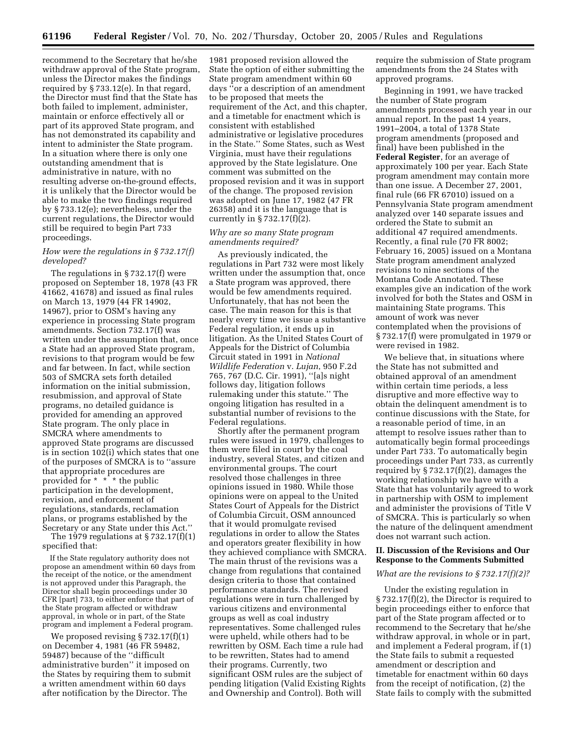recommend to the Secretary that he/she withdraw approval of the State program, unless the Director makes the findings required by § 733.12(e). In that regard, the Director must find that the State has both failed to implement, administer, maintain or enforce effectively all or part of its approved State program, and has not demonstrated its capability and intent to administer the State program. In a situation where there is only one outstanding amendment that is administrative in nature, with no resulting adverse on-the-ground effects, it is unlikely that the Director would be able to make the two findings required by § 733.12(e); nevertheless, under the current regulations, the Director would still be required to begin Part 733 proceedings.

# *How were the regulations in § 732.17(f) developed?*

The regulations in § 732.17(f) were proposed on September 18, 1978 (43 FR 41662, 41678) and issued as final rules on March 13, 1979 (44 FR 14902, 14967), prior to OSM's having any experience in processing State program amendments. Section 732.17(f) was written under the assumption that, once a State had an approved State program, revisions to that program would be few and far between. In fact, while section 503 of SMCRA sets forth detailed information on the initial submission, resubmission, and approval of State programs, no detailed guidance is provided for amending an approved State program. The only place in SMCRA where amendments to approved State programs are discussed is in section 102(i) which states that one of the purposes of SMCRA is to ''assure that appropriate procedures are provided for \* \* \* the public participation in the development, revision, and enforcement of regulations, standards, reclamation plans, or programs established by the Secretary or any State under this Act.''

The 1979 regulations at  $\S 732.17(f)(1)$ specified that:

If the State regulatory authority does not propose an amendment within 60 days from the receipt of the notice, or the amendment is not approved under this Paragraph, the Director shall begin proceedings under 30 CFR [part] 733, to either enforce that part of the State program affected or withdraw approval, in whole or in part, of the State program and implement a Federal program.

We proposed revising § 732.17(f)(1) on December 4, 1981 (46 FR 59482, 59487) because of the ''difficult administrative burden'' it imposed on the States by requiring them to submit a written amendment within 60 days after notification by the Director. The

1981 proposed revision allowed the State the option of either submitting the State program amendment within 60 days ''or a description of an amendment to be proposed that meets the requirement of the Act, and this chapter, and a timetable for enactment which is consistent with established administrative or legislative procedures in the State.'' Some States, such as West Virginia, must have their regulations approved by the State legislature. One comment was submitted on the proposed revision and it was in support of the change. The proposed revision was adopted on June 17, 1982 (47 FR 26358) and it is the language that is currently in § 732.17(f)(2).

# *Why are so many State program amendments required?*

As previously indicated, the regulations in Part 732 were most likely written under the assumption that, once a State program was approved, there would be few amendments required. Unfortunately, that has not been the case. The main reason for this is that nearly every time we issue a substantive Federal regulation, it ends up in litigation. As the United States Court of Appeals for the District of Columbia Circuit stated in 1991 in *National Wildlife Federation* v. *Lujan*, 950 F.2d 765, 767 (D.C. Cir. 1991), ''[a]s night follows day, litigation follows rulemaking under this statute.'' The ongoing litigation has resulted in a substantial number of revisions to the Federal regulations.

Shortly after the permanent program rules were issued in 1979, challenges to them were filed in court by the coal industry, several States, and citizen and environmental groups. The court resolved those challenges in three opinions issued in 1980. While those opinions were on appeal to the United States Court of Appeals for the District of Columbia Circuit, OSM announced that it would promulgate revised regulations in order to allow the States and operators greater flexibility in how they achieved compliance with SMCRA. The main thrust of the revisions was a change from regulations that contained design criteria to those that contained performance standards. The revised regulations were in turn challenged by various citizens and environmental groups as well as coal industry representatives. Some challenged rules were upheld, while others had to be rewritten by OSM. Each time a rule had to be rewritten, States had to amend their programs. Currently, two significant OSM rules are the subject of pending litigation (Valid Existing Rights and Ownership and Control). Both will

require the submission of State program amendments from the 24 States with approved programs.

Beginning in 1991, we have tracked the number of State program amendments processed each year in our annual report. In the past 14 years, 1991–2004, a total of 1378 State program amendments (proposed and final) have been published in the **Federal Register**, for an average of approximately 100 per year. Each State program amendment may contain more than one issue. A December 27, 2001, final rule (66 FR 67010) issued on a Pennsylvania State program amendment analyzed over 140 separate issues and ordered the State to submit an additional 47 required amendments. Recently, a final rule (70 FR 8002; February 16, 2005) issued on a Montana State program amendment analyzed revisions to nine sections of the Montana Code Annotated. These examples give an indication of the work involved for both the States and OSM in maintaining State programs. This amount of work was never contemplated when the provisions of § 732.17(f) were promulgated in 1979 or were revised in 1982.

We believe that, in situations where the State has not submitted and obtained approval of an amendment within certain time periods, a less disruptive and more effective way to obtain the delinquent amendment is to continue discussions with the State, for a reasonable period of time, in an attempt to resolve issues rather than to automatically begin formal proceedings under Part 733. To automatically begin proceedings under Part 733, as currently required by  $\S 732.17(f)(2)$ , damages the working relationship we have with a State that has voluntarily agreed to work in partnership with OSM to implement and administer the provisions of Title V of SMCRA. This is particularly so when the nature of the delinquent amendment does not warrant such action.

# **II. Discussion of the Revisions and Our Response to the Comments Submitted**

#### *What are the revisions to § 732.17(f)(2)?*

Under the existing regulation in § 732.17(f)(2), the Director is required to begin proceedings either to enforce that part of the State program affected or to recommend to the Secretary that he/she withdraw approval, in whole or in part, and implement a Federal program, if (1) the State fails to submit a requested amendment or description and timetable for enactment within 60 days from the receipt of notification, (2) the State fails to comply with the submitted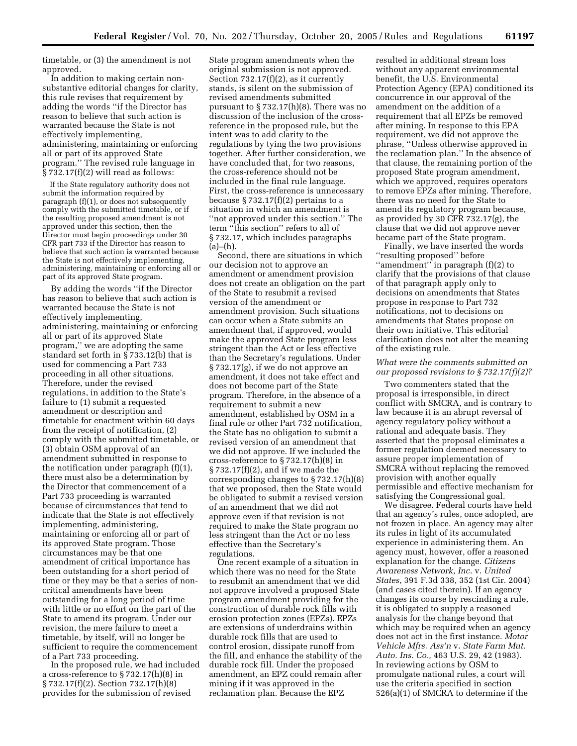timetable, or (3) the amendment is not approved.

In addition to making certain nonsubstantive editorial changes for clarity, this rule revises that requirement by adding the words ''if the Director has reason to believe that such action is warranted because the State is not effectively implementing, administering, maintaining or enforcing all or part of its approved State program.'' The revised rule language in  $§ 732.17(f)(2)$  will read as follows:

If the State regulatory authority does not submit the information required by paragraph (f)(1), or does not subsequently comply with the submitted timetable, or if the resulting proposed amendment is not approved under this section, then the Director must begin proceedings under 30 CFR part 733 if the Director has reason to believe that such action is warranted because the State is not effectively implementing, administering, maintaining or enforcing all or part of its approved State program.

By adding the words ''if the Director has reason to believe that such action is warranted because the State is not effectively implementing, administering, maintaining or enforcing all or part of its approved State program,'' we are adopting the same standard set forth in § 733.12(b) that is used for commencing a Part 733 proceeding in all other situations. Therefore, under the revised regulations, in addition to the State's failure to (1) submit a requested amendment or description and timetable for enactment within 60 days from the receipt of notification, (2) comply with the submitted timetable, or (3) obtain OSM approval of an amendment submitted in response to the notification under paragraph (f)(1), there must also be a determination by the Director that commencement of a Part 733 proceeding is warranted because of circumstances that tend to indicate that the State is not effectively implementing, administering, maintaining or enforcing all or part of its approved State program. Those circumstances may be that one amendment of critical importance has been outstanding for a short period of time or they may be that a series of noncritical amendments have been outstanding for a long period of time with little or no effort on the part of the State to amend its program. Under our revision, the mere failure to meet a timetable, by itself, will no longer be sufficient to require the commencement of a Part 733 proceeding.

In the proposed rule, we had included a cross-reference to § 732.17(h)(8) in § 732.17(f)(2). Section 732.17(h)(8) provides for the submission of revised

State program amendments when the original submission is not approved. Section  $732.17(f)(2)$ , as it currently stands, is silent on the submission of revised amendments submitted pursuant to § 732.17(h)(8). There was no discussion of the inclusion of the crossreference in the proposed rule, but the intent was to add clarity to the regulations by tying the two provisions together. After further consideration, we have concluded that, for two reasons, the cross-reference should not be included in the final rule language. First, the cross-reference is unnecessary because  $\S 732.17(f)(2)$  pertains to a situation in which an amendment is ''not approved under this section.'' The term ''this section'' refers to all of § 732.17, which includes paragraphs  $(a)$ – $(h)$ .

Second, there are situations in which our decision not to approve an amendment or amendment provision does not create an obligation on the part of the State to resubmit a revised version of the amendment or amendment provision. Such situations can occur when a State submits an amendment that, if approved, would make the approved State program less stringent than the Act or less effective than the Secretary's regulations. Under § 732.17(g), if we do not approve an amendment, it does not take effect and does not become part of the State program. Therefore, in the absence of a requirement to submit a new amendment, established by OSM in a final rule or other Part 732 notification, the State has no obligation to submit a revised version of an amendment that we did not approve. If we included the cross-reference to § 732.17(h)(8) in § 732.17(f)(2), and if we made the corresponding changes to § 732.17(h)(8) that we proposed, then the State would be obligated to submit a revised version of an amendment that we did not approve even if that revision is not required to make the State program no less stringent than the Act or no less effective than the Secretary's regulations.

One recent example of a situation in which there was no need for the State to resubmit an amendment that we did not approve involved a proposed State program amendment providing for the construction of durable rock fills with erosion protection zones (EPZs). EPZs are extensions of underdrains within durable rock fills that are used to control erosion, dissipate runoff from the fill, and enhance the stability of the durable rock fill. Under the proposed amendment, an EPZ could remain after mining if it was approved in the reclamation plan. Because the EPZ

resulted in additional stream loss without any apparent environmental benefit, the U.S. Environmental Protection Agency (EPA) conditioned its concurrence in our approval of the amendment on the addition of a requirement that all EPZs be removed after mining. In response to this EPA requirement, we did not approve the phrase, ''Unless otherwise approved in the reclamation plan.'' In the absence of that clause, the remaining portion of the proposed State program amendment, which we approved, requires operators to remove EPZs after mining. Therefore, there was no need for the State to amend its regulatory program because, as provided by 30 CFR  $732.17(g)$ , the clause that we did not approve never became part of the State program.

Finally, we have inserted the words ''resulting proposed'' before ''amendment'' in paragraph (f)(2) to clarify that the provisions of that clause of that paragraph apply only to decisions on amendments that States propose in response to Part 732 notifications, not to decisions on amendments that States propose on their own initiative. This editorial clarification does not alter the meaning of the existing rule.

# *What were the comments submitted on our proposed revisions to § 732.17(f)(2)?*

Two commenters stated that the proposal is irresponsible, in direct conflict with SMCRA, and is contrary to law because it is an abrupt reversal of agency regulatory policy without a rational and adequate basis. They asserted that the proposal eliminates a former regulation deemed necessary to assure proper implementation of SMCRA without replacing the removed provision with another equally permissible and effective mechanism for satisfying the Congressional goal.

We disagree. Federal courts have held that an agency's rules, once adopted, are not frozen in place. An agency may alter its rules in light of its accumulated experience in administering them. An agency must, however, offer a reasoned explanation for the change. *Citizens Awareness Network, Inc.* v. *United States,* 391 F.3d 338, 352 (1st Cir. 2004) (and cases cited therein). If an agency changes its course by rescinding a rule, it is obligated to supply a reasoned analysis for the change beyond that which may be required when an agency does not act in the first instance. *Motor Vehicle Mfrs. Ass'n* v. *State Farm Mut. Auto. Ins. Co.,* 463 U.S. 29, 42 (1983). In reviewing actions by OSM to promulgate national rules, a court will use the criteria specified in section 526(a)(1) of SMCRA to determine if the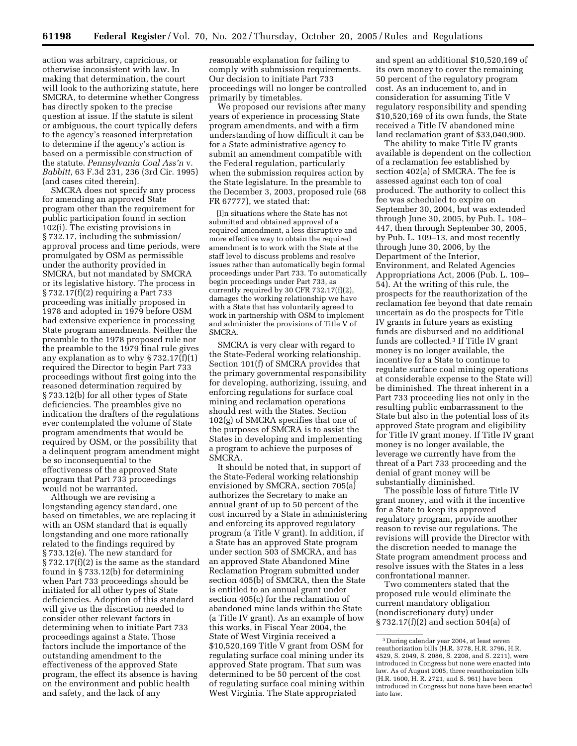action was arbitrary, capricious, or otherwise inconsistent with law. In making that determination, the court will look to the authorizing statute, here SMCRA, to determine whether Congress has directly spoken to the precise question at issue. If the statute is silent or ambiguous, the court typically defers to the agency's reasoned interpretation to determine if the agency's action is based on a permissible construction of the statute. *Pennsylvania Coal Ass'n* v. *Babbitt,* 63 F.3d 231, 236 (3rd Cir. 1995) (and cases cited therein).

SMCRA does not specify any process for amending an approved State program other than the requirement for public participation found in section 102(i). The existing provisions in § 732.17, including the submission/ approval process and time periods, were promulgated by OSM as permissible under the authority provided in SMCRA, but not mandated by SMCRA or its legislative history. The process in § 732.17(f)(2) requiring a Part 733 proceeding was initially proposed in 1978 and adopted in 1979 before OSM had extensive experience in processing State program amendments. Neither the preamble to the 1978 proposed rule nor the preamble to the 1979 final rule gives any explanation as to why  $\S 732.17(f)(1)$ required the Director to begin Part 733 proceedings without first going into the reasoned determination required by § 733.12(b) for all other types of State deficiencies. The preambles give no indication the drafters of the regulations ever contemplated the volume of State program amendments that would be required by OSM, or the possibility that a delinquent program amendment might be so inconsequential to the effectiveness of the approved State program that Part 733 proceedings would not be warranted.

Although we are revising a longstanding agency standard, one based on timetables, we are replacing it with an OSM standard that is equally longstanding and one more rationally related to the findings required by § 733.12(e). The new standard for § 732.17(f)(2) is the same as the standard found in § 733.12(b) for determining when Part 733 proceedings should be initiated for all other types of State deficiencies. Adoption of this standard will give us the discretion needed to consider other relevant factors in determining when to initiate Part 733 proceedings against a State. Those factors include the importance of the outstanding amendment to the effectiveness of the approved State program, the effect its absence is having on the environment and public health and safety, and the lack of any

reasonable explanation for failing to comply with submission requirements. Our decision to initiate Part 733 proceedings will no longer be controlled primarily by timetables.

We proposed our revisions after many years of experience in processing State program amendments, and with a firm understanding of how difficult it can be for a State administrative agency to submit an amendment compatible with the Federal regulation, particularly when the submission requires action by the State legislature. In the preamble to the December 3, 2003, proposed rule (68 FR 67777), we stated that:

[I]n situations where the State has not submitted and obtained approval of a required amendment, a less disruptive and more effective way to obtain the required amendment is to work with the State at the staff level to discuss problems and resolve issues rather than automatically begin formal proceedings under Part 733. To automatically begin proceedings under Part 733, as currently required by 30 CFR 732.17(f)(2), damages the working relationship we have with a State that has voluntarily agreed to work in partnership with OSM to implement and administer the provisions of Title V of SMCRA.

SMCRA is very clear with regard to the State-Federal working relationship. Section 101(f) of SMCRA provides that the primary governmental responsibility for developing, authorizing, issuing, and enforcing regulations for surface coal mining and reclamation operations should rest with the States. Section 102(g) of SMCRA specifies that one of the purposes of SMCRA is to assist the States in developing and implementing a program to achieve the purposes of SMCRA.

It should be noted that, in support of the State-Federal working relationship envisioned by SMCRA, section 705(a) authorizes the Secretary to make an annual grant of up to 50 percent of the cost incurred by a State in administering and enforcing its approved regulatory program (a Title V grant). In addition, if a State has an approved State program under section 503 of SMCRA, and has an approved State Abandoned Mine Reclamation Program submitted under section 405(b) of SMCRA, then the State is entitled to an annual grant under section 405(c) for the reclamation of abandoned mine lands within the State (a Title IV grant). As an example of how this works, in Fiscal Year 2004, the State of West Virginia received a \$10,520,169 Title V grant from OSM for regulating surface coal mining under its approved State program. That sum was determined to be 50 percent of the cost of regulating surface coal mining within West Virginia. The State appropriated

and spent an additional \$10,520,169 of its own money to cover the remaining 50 percent of the regulatory program cost. As an inducement to, and in consideration for assuming Title V regulatory responsibility and spending \$10,520,169 of its own funds, the State received a Title IV abandoned mine land reclamation grant of \$33,040,900.

The ability to make Title IV grants available is dependent on the collection of a reclamation fee established by section 402(a) of SMCRA. The fee is assessed against each ton of coal produced. The authority to collect this fee was scheduled to expire on September 30, 2004, but was extended through June 30, 2005, by Pub. L. 108– 447, then through September 30, 2005, by Pub. L. 109–13, and most recently through June 30, 2006, by the Department of the Interior, Environment, and Related Agencies Appropriations Act, 2006 (Pub. L. 109– 54). At the writing of this rule, the prospects for the reauthorization of the reclamation fee beyond that date remain uncertain as do the prospects for Title IV grants in future years as existing funds are disbursed and no additional funds are collected.3 If Title IV grant money is no longer available, the incentive for a State to continue to regulate surface coal mining operations at considerable expense to the State will be diminished. The threat inherent in a Part 733 proceeding lies not only in the resulting public embarrassment to the State but also in the potential loss of its approved State program and eligibility for Title IV grant money. If Title IV grant money is no longer available, the leverage we currently have from the threat of a Part 733 proceeding and the denial of grant money will be substantially diminished.

The possible loss of future Title IV grant money, and with it the incentive for a State to keep its approved regulatory program, provide another reason to revise our regulations. The revisions will provide the Director with the discretion needed to manage the State program amendment process and resolve issues with the States in a less confrontational manner.

Two commenters stated that the proposed rule would eliminate the current mandatory obligation (nondiscretionary duty) under § 732.17(f)(2) and section 504(a) of

<sup>3</sup> During calendar year 2004, at least seven reauthorization bills (H.R. 3778, H.R. 3796, H.R. 4529, S. 2049, S. 2086, S. 2208, and S. 2211), were introduced in Congress but none were enacted into law. As of August 2005, three reauthorization bills (H.R. 1600, H. R. 2721, and S. 961) have been introduced in Congress but none have been enacted into law.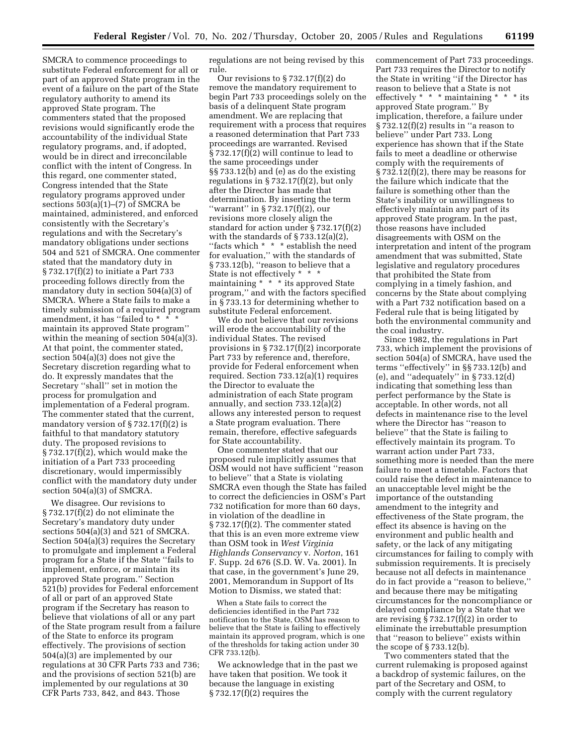SMCRA to commence proceedings to substitute Federal enforcement for all or part of an approved State program in the event of a failure on the part of the State regulatory authority to amend its approved State program. The commenters stated that the proposed revisions would significantly erode the accountability of the individual State regulatory programs, and, if adopted, would be in direct and irreconcilable conflict with the intent of Congress. In this regard, one commenter stated, Congress intended that the State regulatory programs approved under sections  $503(a)(1)–(7)$  of SMCRA be maintained, administered, and enforced consistently with the Secretary's regulations and with the Secretary's mandatory obligations under sections 504 and 521 of SMCRA. One commenter stated that the mandatory duty in § 732.17(f)(2) to initiate a Part 733 proceeding follows directly from the mandatory duty in section 504(a)(3) of SMCRA. Where a State fails to make a timely submission of a required program amendment, it has "failed to  $*$ maintain its approved State program'' within the meaning of section 504(a)(3). At that point, the commenter stated, section 504(a)(3) does not give the Secretary discretion regarding what to do. It expressly mandates that the Secretary ''shall'' set in motion the process for promulgation and implementation of a Federal program. The commenter stated that the current, mandatory version of § 732.17(f)(2) is faithful to that mandatory statutory duty. The proposed revisions to § 732.17(f)(2), which would make the initiation of a Part 733 proceeding discretionary, would impermissibly conflict with the mandatory duty under section 504(a)(3) of SMCRA.

We disagree. Our revisions to § 732.17(f)(2) do not eliminate the Secretary's mandatory duty under sections 504(a)(3) and 521 of SMCRA. Section 504(a)(3) requires the Secretary to promulgate and implement a Federal program for a State if the State ''fails to implement, enforce, or maintain its approved State program.'' Section 521(b) provides for Federal enforcement of all or part of an approved State program if the Secretary has reason to believe that violations of all or any part of the State program result from a failure of the State to enforce its program effectively. The provisions of section 504(a)(3) are implemented by our regulations at 30 CFR Parts 733 and 736; and the provisions of section 521(b) are implemented by our regulations at 30 CFR Parts 733, 842, and 843. Those

regulations are not being revised by this rule.

Our revisions to § 732.17(f)(2) do remove the mandatory requirement to begin Part 733 proceedings solely on the basis of a delinquent State program amendment. We are replacing that requirement with a process that requires a reasoned determination that Part 733 proceedings are warranted. Revised § 732.17(f)(2) will continue to lead to the same proceedings under §§ 733.12(b) and (e) as do the existing regulations in  $\S 732.17(f)(2)$ , but only after the Director has made that determination. By inserting the term ''warrant'' in § 732.17(f)(2), our revisions more closely align the standard for action under § 732.17(f)(2) with the standards of § 733.12(a)(2), ''facts which \* \* \* establish the need for evaluation,'' with the standards of § 733.12(b), ''reason to believe that a State is not effectively \* \* \* maintaining \* \* \* its approved State program,'' and with the factors specified in § 733.13 for determining whether to substitute Federal enforcement.

We do not believe that our revisions will erode the accountability of the individual States. The revised provisions in § 732.17(f)(2) incorporate Part 733 by reference and, therefore, provide for Federal enforcement when required. Section 733.12(a)(1) requires the Director to evaluate the administration of each State program annually, and section 733.12(a)(2) allows any interested person to request a State program evaluation. There remain, therefore, effective safeguards for State accountability.

One commenter stated that our proposed rule implicitly assumes that OSM would not have sufficient ''reason to believe'' that a State is violating SMCRA even though the State has failed to correct the deficiencies in OSM's Part 732 notification for more than 60 days, in violation of the deadline in § 732.17(f)(2). The commenter stated that this is an even more extreme view than OSM took in *West Virginia Highlands Conservancy* v. *Norton*, 161 F. Supp. 2d 676 (S.D. W. Va. 2001). In that case, in the government's June 29, 2001, Memorandum in Support of Its Motion to Dismiss, we stated that:

When a State fails to correct the deficiencies identified in the Part 732 notification to the State, OSM has reason to believe that the State is failing to effectively maintain its approved program, which is one of the thresholds for taking action under 30 CFR 733.12(b).

We acknowledge that in the past we have taken that position. We took it because the language in existing  $§ 732.17(f)(2)$  requires the

commencement of Part 733 proceedings. Part 733 requires the Director to notify the State in writing ''if the Director has reason to believe that a State is not effectively \* \* \* maintaining \* \* \* its approved State program.'' By implication, therefore, a failure under § 732.12(f)(2) results in ''a reason to believe'' under Part 733. Long experience has shown that if the State fails to meet a deadline or otherwise comply with the requirements of § 732.12(f)(2), there may be reasons for the failure which indicate that the failure is something other than the State's inability or unwillingness to effectively maintain any part of its approved State program. In the past, those reasons have included disagreements with OSM on the interpretation and intent of the program amendment that was submitted, State legislative and regulatory procedures that prohibited the State from complying in a timely fashion, and concerns by the State about complying with a Part 732 notification based on a Federal rule that is being litigated by both the environmental community and the coal industry.

Since 1982, the regulations in Part 733, which implement the provisions of section 504(a) of SMCRA, have used the terms ''effectively'' in §§ 733.12(b) and (e), and ''adequately'' in § 733.12(d) indicating that something less than perfect performance by the State is acceptable. In other words, not all defects in maintenance rise to the level where the Director has ''reason to believe'' that the State is failing to effectively maintain its program. To warrant action under Part 733, something more is needed than the mere failure to meet a timetable. Factors that could raise the defect in maintenance to an unacceptable level might be the importance of the outstanding amendment to the integrity and effectiveness of the State program, the effect its absence is having on the environment and public health and safety, or the lack of any mitigating circumstances for failing to comply with submission requirements. It is precisely because not all defects in maintenance do in fact provide a ''reason to believe,'' and because there may be mitigating circumstances for the noncompliance or delayed compliance by a State that we are revising  $\bar{\S}$  732.17(f)(2) in order to eliminate the irrebuttable presumption that ''reason to believe'' exists within the scope of § 733.12(b).

Two commenters stated that the current rulemaking is proposed against a backdrop of systemic failures, on the part of the Secretary and OSM, to comply with the current regulatory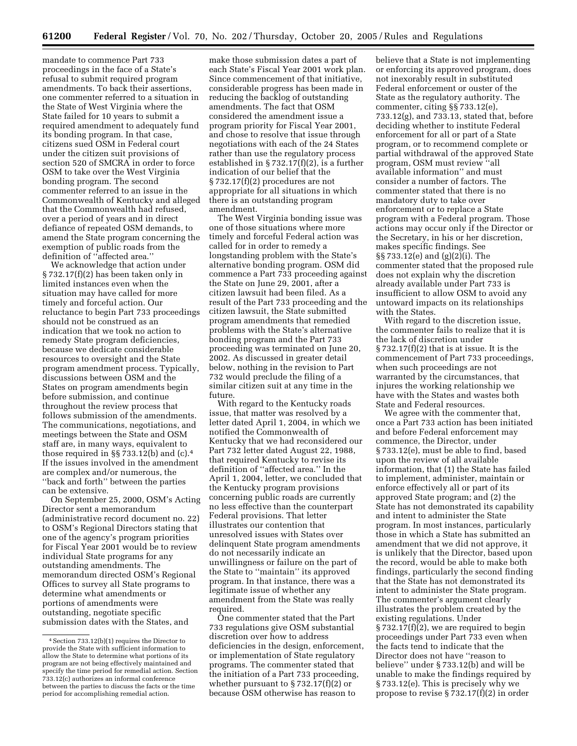mandate to commence Part 733 proceedings in the face of a State's refusal to submit required program amendments. To back their assertions, one commenter referred to a situation in the State of West Virginia where the State failed for 10 years to submit a required amendment to adequately fund its bonding program. In that case, citizens sued OSM in Federal court under the citizen suit provisions of section 520 of SMCRA in order to force OSM to take over the West Virginia bonding program. The second commenter referred to an issue in the Commonwealth of Kentucky and alleged that the Commonwealth had refused, over a period of years and in direct defiance of repeated OSM demands, to amend the State program concerning the exemption of public roads from the definition of ''affected area.''

We acknowledge that action under § 732.17(f)(2) has been taken only in limited instances even when the situation may have called for more timely and forceful action. Our reluctance to begin Part 733 proceedings should not be construed as an indication that we took no action to remedy State program deficiencies, because we dedicate considerable resources to oversight and the State program amendment process. Typically, discussions between OSM and the States on program amendments begin before submission, and continue throughout the review process that follows submission of the amendments. The communications, negotiations, and meetings between the State and OSM staff are, in many ways, equivalent to those required in §§ 733.12(b) and (c).4 If the issues involved in the amendment are complex and/or numerous, the ''back and forth'' between the parties can be extensive.

On September 25, 2000, OSM's Acting Director sent a memorandum (administrative record document no. 22) to OSM's Regional Directors stating that one of the agency's program priorities for Fiscal Year 2001 would be to review individual State programs for any outstanding amendments. The memorandum directed OSM's Regional Offices to survey all State programs to determine what amendments or portions of amendments were outstanding, negotiate specific submission dates with the States, and

make those submission dates a part of each State's Fiscal Year 2001 work plan. Since commencement of that initiative, considerable progress has been made in reducing the backlog of outstanding amendments. The fact that OSM considered the amendment issue a program priority for Fiscal Year 2001, and chose to resolve that issue through negotiations with each of the 24 States rather than use the regulatory process established in § 732.17(f)(2), is a further indication of our belief that the § 732.17(f)(2) procedures are not appropriate for all situations in which there is an outstanding program amendment.

The West Virginia bonding issue was one of those situations where more timely and forceful Federal action was called for in order to remedy a longstanding problem with the State's alternative bonding program. OSM did commence a Part 733 proceeding against the State on June 29, 2001, after a citizen lawsuit had been filed. As a result of the Part 733 proceeding and the citizen lawsuit, the State submitted program amendments that remedied problems with the State's alternative bonding program and the Part 733 proceeding was terminated on June 20, 2002. As discussed in greater detail below, nothing in the revision to Part 732 would preclude the filing of a similar citizen suit at any time in the future.

With regard to the Kentucky roads issue, that matter was resolved by a letter dated April 1, 2004, in which we notified the Commonwealth of Kentucky that we had reconsidered our Part 732 letter dated August 22, 1988, that required Kentucky to revise its definition of ''affected area.'' In the April 1, 2004, letter, we concluded that the Kentucky program provisions concerning public roads are currently no less effective than the counterpart Federal provisions. That letter illustrates our contention that unresolved issues with States over delinquent State program amendments do not necessarily indicate an unwillingness or failure on the part of the State to ''maintain'' its approved program. In that instance, there was a legitimate issue of whether any amendment from the State was really required

One commenter stated that the Part 733 regulations give OSM substantial discretion over how to address deficiencies in the design, enforcement, or implementation of State regulatory programs. The commenter stated that the initiation of a Part 733 proceeding, whether pursuant to § 732.17(f)(2) or because OSM otherwise has reason to

believe that a State is not implementing or enforcing its approved program, does not inexorably result in substituted Federal enforcement or ouster of the State as the regulatory authority. The commenter, citing §§ 733.12(e), 733.12(g), and 733.13, stated that, before deciding whether to institute Federal enforcement for all or part of a State program, or to recommend complete or partial withdrawal of the approved State program, OSM must review ''all available information'' and must consider a number of factors. The commenter stated that there is no mandatory duty to take over enforcement or to replace a State program with a Federal program. Those actions may occur only if the Director or the Secretary, in his or her discretion, makes specific findings. See §§ 733.12(e) and (g)(2)(i). The commenter stated that the proposed rule does not explain why the discretion already available under Part 733 is insufficient to allow OSM to avoid any untoward impacts on its relationships with the States.

With regard to the discretion issue, the commenter fails to realize that it is the lack of discretion under  $\S 732.17(f)(2)$  that is at issue. It is the commencement of Part 733 proceedings, when such proceedings are not warranted by the circumstances, that injures the working relationship we have with the States and wastes both State and Federal resources.

We agree with the commenter that, once a Part 733 action has been initiated and before Federal enforcement may commence, the Director, under § 733.12(e), must be able to find, based upon the review of all available information, that (1) the State has failed to implement, administer, maintain or enforce effectively all or part of its approved State program; and (2) the State has not demonstrated its capability and intent to administer the State program. In most instances, particularly those in which a State has submitted an amendment that we did not approve, it is unlikely that the Director, based upon the record, would be able to make both findings, particularly the second finding that the State has not demonstrated its intent to administer the State program. The commenter's argument clearly illustrates the problem created by the existing regulations. Under § 732.17(f)(2), we are required to begin proceedings under Part 733 even when the facts tend to indicate that the Director does not have ''reason to believe'' under § 733.12(b) and will be unable to make the findings required by § 733.12(e). This is precisely why we propose to revise § 732.17(f)(2) in order

<sup>4</sup>Section 733.12(b)(1) requires the Director to provide the State with sufficient information to allow the State to determine what portions of its program are not being effectively maintained and specify the time period for remedial action. Section 733.12(c) authorizes an informal conference between the parties to discuss the facts or the time period for accomplishing remedial action.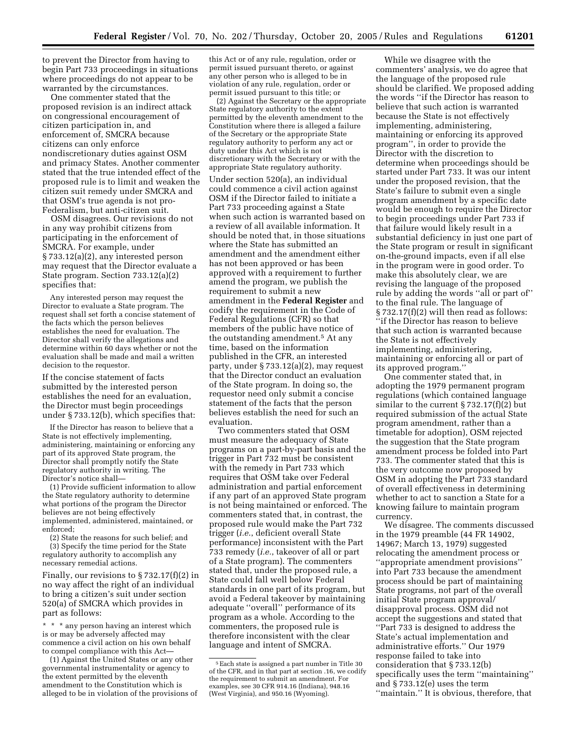to prevent the Director from having to begin Part 733 proceedings in situations where proceedings do not appear to be warranted by the circumstances.

One commenter stated that the proposed revision is an indirect attack on congressional encouragement of citizen participation in, and enforcement of, SMCRA because citizens can only enforce nondiscretionary duties against OSM and primacy States. Another commenter stated that the true intended effect of the proposed rule is to limit and weaken the citizen suit remedy under SMCRA and that OSM's true agenda is not pro-Federalism, but anti-citizen suit.

OSM disagrees. Our revisions do not in any way prohibit citizens from participating in the enforcement of SMCRA. For example, under § 733.12(a)(2), any interested person may request that the Director evaluate a State program. Section 733.12(a)(2) specifies that:

Any interested person may request the Director to evaluate a State program. The request shall set forth a concise statement of the facts which the person believes establishes the need for evaluation. The Director shall verify the allegations and determine within 60 days whether or not the evaluation shall be made and mail a written decision to the requestor.

If the concise statement of facts submitted by the interested person establishes the need for an evaluation, the Director must begin proceedings under § 733.12(b), which specifies that:

If the Director has reason to believe that a State is not effectively implementing, administering, maintaining or enforcing any part of its approved State program, the Director shall promptly notify the State regulatory authority in writing. The Director's notice shall—

(1) Provide sufficient information to allow the State regulatory authority to determine what portions of the program the Director believes are not being effectively implemented, administered, maintained, or enforced;

(2) State the reasons for such belief; and (3) Specify the time period for the State regulatory authority to accomplish any

necessary remedial actions.

Finally, our revisions to § 732.17(f)(2) in no way affect the right of an individual to bring a citizen's suit under section 520(a) of SMCRA which provides in part as follows:

\* \* \* any person having an interest which is or may be adversely affected may commence a civil action on his own behalf to compel compliance with this Act—

(1) Against the United States or any other governmental instrumentality or agency to the extent permitted by the eleventh amendment to the Constitution which is alleged to be in violation of the provisions of this Act or of any rule, regulation, order or permit issued pursuant thereto, or against any other person who is alleged to be in violation of any rule, regulation, order or permit issued pursuant to this title; or

(2) Against the Secretary or the appropriate State regulatory authority to the extent permitted by the eleventh amendment to the Constitution where there is alleged a failure of the Secretary or the appropriate State regulatory authority to perform any act or duty under this Act which is not discretionary with the Secretary or with the appropriate State regulatory authority.

Under section 520(a), an individual could commence a civil action against OSM if the Director failed to initiate a Part 733 proceeding against a State when such action is warranted based on a review of all available information. It should be noted that, in those situations where the State has submitted an amendment and the amendment either has not been approved or has been approved with a requirement to further amend the program, we publish the requirement to submit a new amendment in the **Federal Register** and codify the requirement in the Code of Federal Regulations (CFR) so that members of the public have notice of the outstanding amendment.5 At any time, based on the information published in the CFR, an interested party, under § 733.12(a)(2), may request that the Director conduct an evaluation of the State program. In doing so, the requestor need only submit a concise statement of the facts that the person believes establish the need for such an evaluation.

Two commenters stated that OSM must measure the adequacy of State programs on a part-by-part basis and the trigger in Part 732 must be consistent with the remedy in Part 733 which requires that OSM take over Federal administration and partial enforcement if any part of an approved State program is not being maintained or enforced. The commenters stated that, in contrast, the proposed rule would make the Part 732 trigger (*i.e.*, deficient overall State performance) inconsistent with the Part 733 remedy (*i.e.*, takeover of all or part of a State program). The commenters stated that, under the proposed rule, a State could fall well below Federal standards in one part of its program, but avoid a Federal takeover by maintaining adequate ''overall'' performance of its program as a whole. According to the commenters, the proposed rule is therefore inconsistent with the clear language and intent of SMCRA.

While we disagree with the commenters' analysis, we do agree that the language of the proposed rule should be clarified. We proposed adding the words ''if the Director has reason to believe that such action is warranted because the State is not effectively implementing, administering, maintaining or enforcing its approved program'', in order to provide the Director with the discretion to determine when proceedings should be started under Part 733. It was our intent under the proposed revision, that the State's failure to submit even a single program amendment by a specific date would be enough to require the Director to begin proceedings under Part 733 if that failure would likely result in a substantial deficiency in just one part of the State program or result in significant on-the-ground impacts, even if all else in the program were in good order. To make this absolutely clear, we are revising the language of the proposed rule by adding the words ''all or part of'' to the final rule. The language of § 732.17(f)(2) will then read as follows: ''if the Director has reason to believe that such action is warranted because the State is not effectively implementing, administering, maintaining or enforcing all or part of its approved program.''

One commenter stated that, in adopting the 1979 permanent program regulations (which contained language similar to the current  $\S 732.17(f)(2)$  but required submission of the actual State program amendment, rather than a timetable for adoption), OSM rejected the suggestion that the State program amendment process be folded into Part 733. The commenter stated that this is the very outcome now proposed by OSM in adopting the Part 733 standard of overall effectiveness in determining whether to act to sanction a State for a knowing failure to maintain program currency.

We disagree. The comments discussed in the 1979 preamble (44 FR 14902, 14967; March 13, 1979) suggested relocating the amendment process or ''appropriate amendment provisions'' into Part 733 because the amendment process should be part of maintaining State programs, not part of the overall initial State program approval/ disapproval process. OSM did not accept the suggestions and stated that ''Part 733 is designed to address the State's actual implementation and administrative efforts.'' Our 1979 response failed to take into consideration that § 733.12(b) specifically uses the term ''maintaining'' and § 733.12(e) uses the term ''maintain.'' It is obvious, therefore, that

<sup>5</sup>Each state is assigned a part number in Title 30 of the CFR, and in that part at section .16, we codify the requirement to submit an amendment. For examples, see 30 CFR 914.16 (Indiana), 948.16 (West Virginia), and 950.16 (Wyoming).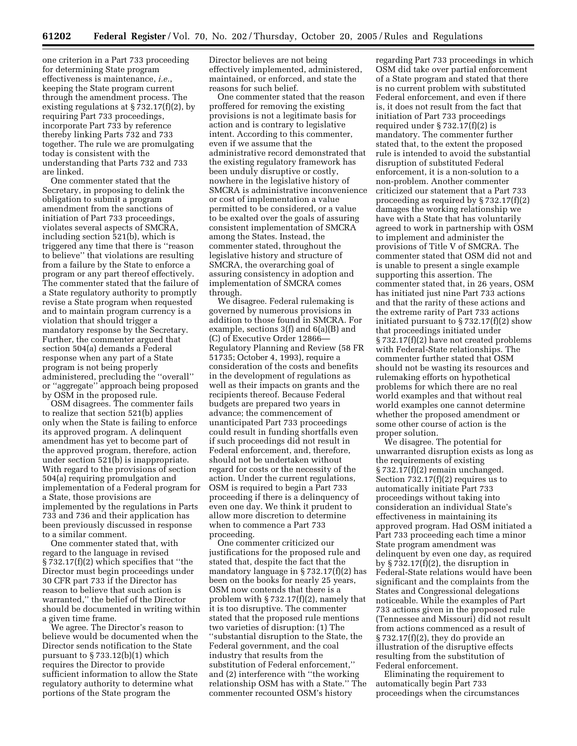one criterion in a Part 733 proceeding for determining State program effectiveness is maintenance, *i.e.*, keeping the State program current through the amendment process. The existing regulations at  $\S 732.17(f)(2)$ , by requiring Part 733 proceedings, incorporate Part 733 by reference thereby linking Parts 732 and 733 together. The rule we are promulgating today is consistent with the understanding that Parts 732 and 733 are linked.

One commenter stated that the Secretary, in proposing to delink the obligation to submit a program amendment from the sanctions of initiation of Part 733 proceedings, violates several aspects of SMCRA, including section 521(b), which is triggered any time that there is ''reason to believe'' that violations are resulting from a failure by the State to enforce a program or any part thereof effectively. The commenter stated that the failure of a State regulatory authority to promptly revise a State program when requested and to maintain program currency is a violation that should trigger a mandatory response by the Secretary. Further, the commenter argued that section 504(a) demands a Federal response when any part of a State program is not being properly administered, precluding the ''overall'' or ''aggregate'' approach being proposed by OSM in the proposed rule.

OSM disagrees. The commenter fails to realize that section 521(b) applies only when the State is failing to enforce its approved program. A delinquent amendment has yet to become part of the approved program, therefore, action under section 521(b) is inappropriate. With regard to the provisions of section 504(a) requiring promulgation and implementation of a Federal program for a State, those provisions are implemented by the regulations in Parts 733 and 736 and their application has been previously discussed in response to a similar comment.

One commenter stated that, with regard to the language in revised § 732.17(f)(2) which specifies that ''the Director must begin proceedings under 30 CFR part 733 if the Director has reason to believe that such action is warranted,'' the belief of the Director should be documented in writing within a given time frame.

We agree. The Director's reason to believe would be documented when the Director sends notification to the State pursuant to § 733.12(b)(1) which requires the Director to provide sufficient information to allow the State regulatory authority to determine what portions of the State program the

Director believes are not being effectively implemented, administered, maintained, or enforced, and state the reasons for such belief.

One commenter stated that the reason proffered for removing the existing provisions is not a legitimate basis for action and is contrary to legislative intent. According to this commenter, even if we assume that the administrative record demonstrated that the existing regulatory framework has been unduly disruptive or costly, nowhere in the legislative history of SMCRA is administrative inconvenience or cost of implementation a value permitted to be considered, or a value to be exalted over the goals of assuring consistent implementation of SMCRA among the States. Instead, the commenter stated, throughout the legislative history and structure of SMCRA, the overarching goal of assuring consistency in adoption and implementation of SMCRA comes through.

We disagree. Federal rulemaking is governed by numerous provisions in addition to those found in SMCRA. For example, sections 3(f) and 6(a)(B) and (C) of Executive Order 12866— Regulatory Planning and Review (58 FR 51735; October 4, 1993), require a consideration of the costs and benefits in the development of regulations as well as their impacts on grants and the recipients thereof. Because Federal budgets are prepared two years in advance; the commencement of unanticipated Part 733 proceedings could result in funding shortfalls even if such proceedings did not result in Federal enforcement, and, therefore, should not be undertaken without regard for costs or the necessity of the action. Under the current regulations, OSM is required to begin a Part 733 proceeding if there is a delinquency of even one day. We think it prudent to allow more discretion to determine when to commence a Part 733 proceeding.

One commenter criticized our justifications for the proposed rule and stated that, despite the fact that the mandatory language in § 732.17(f)(2) has been on the books for nearly 25 years, OSM now contends that there is a problem with § 732.17(f)(2), namely that it is too disruptive. The commenter stated that the proposed rule mentions two varieties of disruption: (1) The ''substantial disruption to the State, the Federal government, and the coal industry that results from the substitution of Federal enforcement,'' and (2) interference with ''the working relationship OSM has with a State.'' The commenter recounted OSM's history

regarding Part 733 proceedings in which OSM did take over partial enforcement of a State program and stated that there is no current problem with substituted Federal enforcement, and even if there is, it does not result from the fact that initiation of Part 733 proceedings required under § 732.17(f)(2) is mandatory. The commenter further stated that, to the extent the proposed rule is intended to avoid the substantial disruption of substituted Federal enforcement, it is a non-solution to a non-problem. Another commenter criticized our statement that a Part 733 proceeding as required by § 732.17(f)(2) damages the working relationship we have with a State that has voluntarily agreed to work in partnership with OSM to implement and administer the provisions of Title V of SMCRA. The commenter stated that OSM did not and is unable to present a single example supporting this assertion. The commenter stated that, in 26 years, OSM has initiated just nine Part 733 actions and that the rarity of these actions and the extreme rarity of Part 733 actions initiated pursuant to  $\S 732.17(f)(2)$  show that proceedings initiated under § 732.17(f)(2) have not created problems with Federal-State relationships. The commenter further stated that OSM should not be wasting its resources and rulemaking efforts on hypothetical problems for which there are no real world examples and that without real world examples one cannot determine whether the proposed amendment or some other course of action is the proper solution.

We disagree. The potential for unwarranted disruption exists as long as the requirements of existing § 732.17(f)(2) remain unchanged. Section 732.17(f)(2) requires us to automatically initiate Part 733 proceedings without taking into consideration an individual State's effectiveness in maintaining its approved program. Had OSM initiated a Part 733 proceeding each time a minor State program amendment was delinquent by even one day, as required by  $\S 732.17(f)(2)$ , the disruption in Federal-State relations would have been significant and the complaints from the States and Congressional delegations noticeable. While the examples of Part 733 actions given in the proposed rule (Tennessee and Missouri) did not result from actions commenced as a result of § 732.17(f)(2), they do provide an illustration of the disruptive effects resulting from the substitution of Federal enforcement.

Eliminating the requirement to automatically begin Part 733 proceedings when the circumstances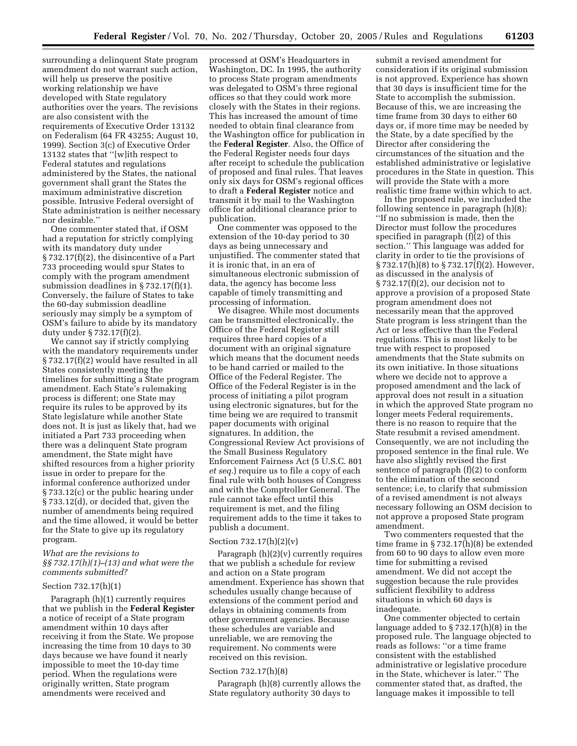surrounding a delinquent State program amendment do not warrant such action, will help us preserve the positive working relationship we have developed with State regulatory authorities over the years. The revisions are also consistent with the requirements of Executive Order 13132 on Federalism (64 FR 43255; August 10, 1999). Section 3(c) of Executive Order 13132 states that ''[w]ith respect to Federal statutes and regulations administered by the States, the national government shall grant the States the maximum administrative discretion possible. Intrusive Federal oversight of State administration is neither necessary nor desirable.''

One commenter stated that, if OSM had a reputation for strictly complying with its mandatory duty under § 732.17(f)(2), the disincentive of a Part 733 proceeding would spur States to comply with the program amendment submission deadlines in § 732.17(f)(1). Conversely, the failure of States to take the 60-day submission deadline seriously may simply be a symptom of OSM's failure to abide by its mandatory duty under § 732.17(f)(2).

We cannot say if strictly complying with the mandatory requirements under § 732.17(f)(2) would have resulted in all States consistently meeting the timelines for submitting a State program amendment. Each State's rulemaking process is different; one State may require its rules to be approved by its State legislature while another State does not. It is just as likely that, had we initiated a Part 733 proceeding when there was a delinquent State program amendment, the State might have shifted resources from a higher priority issue in order to prepare for the informal conference authorized under § 733.12(c) or the public hearing under § 733.12(d), or decided that, given the number of amendments being required and the time allowed, it would be better for the State to give up its regulatory program.

#### *What are the revisions to §§ 732.17(h)(1)–(13) and what were the comments submitted?*

#### Section 732.17(h)(1)

Paragraph (h)(1) currently requires that we publish in the **Federal Register**  a notice of receipt of a State program amendment within 10 days after receiving it from the State. We propose increasing the time from 10 days to 30 days because we have found it nearly impossible to meet the 10-day time period. When the regulations were originally written, State program amendments were received and

processed at OSM's Headquarters in Washington, DC. In 1995, the authority to process State program amendments was delegated to OSM's three regional offices so that they could work more closely with the States in their regions. This has increased the amount of time needed to obtain final clearance from the Washington office for publication in the **Federal Register**. Also, the Office of the Federal Register needs four days after receipt to schedule the publication of proposed and final rules. That leaves only six days for OSM's regional offices to draft a **Federal Register** notice and transmit it by mail to the Washington office for additional clearance prior to publication.

One commenter was opposed to the extension of the 10-day period to 30 days as being unnecessary and unjustified. The commenter stated that it is ironic that, in an era of simultaneous electronic submission of data, the agency has become less capable of timely transmitting and processing of information.

We disagree. While most documents can be transmitted electronically, the Office of the Federal Register still requires three hard copies of a document with an original signature which means that the document needs to be hand carried or mailed to the Office of the Federal Register. The Office of the Federal Register is in the process of initiating a pilot program using electronic signatures, but for the time being we are required to transmit paper documents with original signatures. In addition, the Congressional Review Act provisions of the Small Business Regulatory Enforcement Fairness Act (5 U.S.C. 801 *et seq.*) require us to file a copy of each final rule with both houses of Congress and with the Comptroller General. The rule cannot take effect until this requirement is met, and the filing requirement adds to the time it takes to publish a document.

#### Section 732.17(h)(2)(v)

Paragraph (h)(2)(v) currently requires that we publish a schedule for review and action on a State program amendment. Experience has shown that schedules usually change because of extensions of the comment period and delays in obtaining comments from other government agencies. Because these schedules are variable and unreliable, we are removing the requirement. No comments were received on this revision.

#### Section 732.17(h)(8)

Paragraph (h)(8) currently allows the State regulatory authority 30 days to

submit a revised amendment for consideration if its original submission is not approved. Experience has shown that 30 days is insufficient time for the State to accomplish the submission. Because of this, we are increasing the time frame from 30 days to either 60 days or, if more time may be needed by the State, by a date specified by the Director after considering the circumstances of the situation and the established administrative or legislative procedures in the State in question. This will provide the State with a more realistic time frame within which to act.

In the proposed rule, we included the following sentence in paragraph (h)(8): ''If no submission is made, then the Director must follow the procedures specified in paragraph  $(f)(2)$  of this section.'' This language was added for clarity in order to tie the provisions of § 732.17(h)(8) to § 732.17(f)(2). However, as discussed in the analysis of  $\S 732.17(f)(2)$ , our decision not to approve a provision of a proposed State program amendment does not necessarily mean that the approved State program is less stringent than the Act or less effective than the Federal regulations. This is most likely to be true with respect to proposed amendments that the State submits on its own initiative. In those situations where we decide not to approve a proposed amendment and the lack of approval does not result in a situation in which the approved State program no longer meets Federal requirements, there is no reason to require that the State resubmit a revised amendment. Consequently, we are not including the proposed sentence in the final rule. We have also slightly revised the first sentence of paragraph (f)(2) to conform to the elimination of the second sentence; i.e, to clarify that submission of a revised amendment is not always necessary following an OSM decision to not approve a proposed State program amendment.

Two commenters requested that the time frame in § 732.17(h)(8) be extended from 60 to 90 days to allow even more time for submitting a revised amendment. We did not accept the suggestion because the rule provides sufficient flexibility to address situations in which 60 days is inadequate.

One commenter objected to certain language added to § 732.17(h)(8) in the proposed rule. The language objected to reads as follows: ''or a time frame consistent with the established administrative or legislative procedure in the State, whichever is later.'' The commenter stated that, as drafted, the language makes it impossible to tell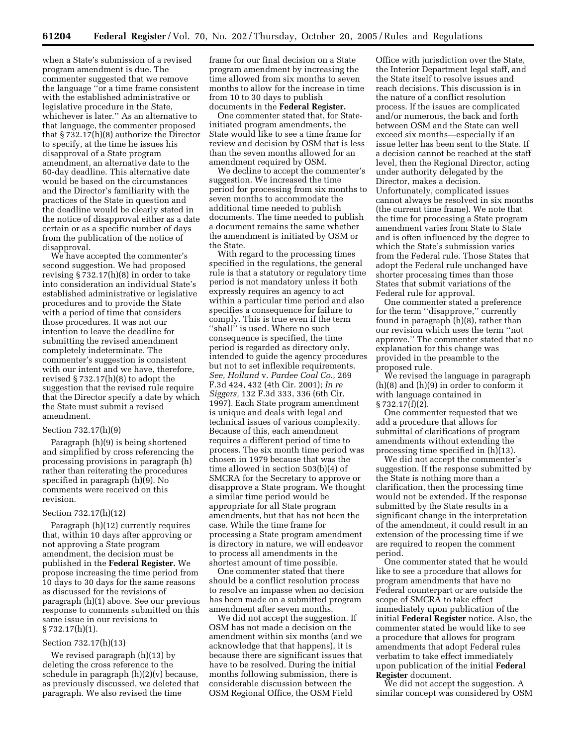when a State's submission of a revised program amendment is due. The commenter suggested that we remove the language ''or a time frame consistent with the established administrative or legislative procedure in the State, whichever is later.'' As an alternative to that language, the commenter proposed that § 732.17(h)(8) authorize the Director to specify, at the time he issues his disapproval of a State program amendment, an alternative date to the 60-day deadline. This alternative date would be based on the circumstances and the Director's familiarity with the practices of the State in question and the deadline would be clearly stated in the notice of disapproval either as a date certain or as a specific number of days from the publication of the notice of disapproval.

We have accepted the commenter's second suggestion. We had proposed revising § 732.17(h)(8) in order to take into consideration an individual State's established administrative or legislative procedures and to provide the State with a period of time that considers those procedures. It was not our intention to leave the deadline for submitting the revised amendment completely indeterminate. The commenter's suggestion is consistent with our intent and we have, therefore, revised  $\S 732.17(h)(8)$  to adopt the suggestion that the revised rule require that the Director specify a date by which the State must submit a revised amendment.

#### Section 732.17(h)(9)

Paragraph (h)(9) is being shortened and simplified by cross referencing the processing provisions in paragraph (h) rather than reiterating the procedures specified in paragraph (h)(9). No comments were received on this revision.

# Section 732.17(h)(12)

Paragraph (h)(12) currently requires that, within 10 days after approving or not approving a State program amendment, the decision must be published in the **Federal Register.** We propose increasing the time period from 10 days to 30 days for the same reasons as discussed for the revisions of paragraph (h)(1) above. See our previous response to comments submitted on this same issue in our revisions to § 732.17(h)(1).

#### Section 732.17(h)(13)

We revised paragraph (h)(13) by deleting the cross reference to the schedule in paragraph (h)(2)(v) because, as previously discussed, we deleted that paragraph. We also revised the time

frame for our final decision on a State program amendment by increasing the time allowed from six months to seven months to allow for the increase in time from 10 to 30 days to publish documents in the **Federal Register.** 

One commenter stated that, for Stateinitiated program amendments, the State would like to see a time frame for review and decision by OSM that is less than the seven months allowed for an amendment required by OSM.

We decline to accept the commenter's suggestion. We increased the time period for processing from six months to seven months to accommodate the additional time needed to publish documents. The time needed to publish a document remains the same whether the amendment is initiated by OSM or the State.

With regard to the processing times specified in the regulations, the general rule is that a statutory or regulatory time period is not mandatory unless it both expressly requires an agency to act within a particular time period and also specifies a consequence for failure to comply. This is true even if the term ''shall'' is used. Where no such consequence is specified, the time period is regarded as directory only, intended to guide the agency procedures but not to set inflexible requirements. *See, Holland* v. *Pardee Coal Co.,* 269 F.3d 424, 432 (4th Cir. 2001); *In re Siggers,* 132 F.3d 333, 336 (6th Cir. 1997). Each State program amendment is unique and deals with legal and technical issues of various complexity. Because of this, each amendment requires a different period of time to process. The six month time period was chosen in 1979 because that was the time allowed in section 503(b)(4) of SMCRA for the Secretary to approve or disapprove a State program. We thought a similar time period would be appropriate for all State program amendments, but that has not been the case. While the time frame for processing a State program amendment is directory in nature, we will endeavor to process all amendments in the shortest amount of time possible.

One commenter stated that there should be a conflict resolution process to resolve an impasse when no decision has been made on a submitted program amendment after seven months.

We did not accept the suggestion. If OSM has not made a decision on the amendment within six months (and we acknowledge that that happens), it is because there are significant issues that have to be resolved. During the initial months following submission, there is considerable discussion between the OSM Regional Office, the OSM Field

Office with jurisdiction over the State, the Interior Department legal staff, and the State itself to resolve issues and reach decisions. This discussion is in the nature of a conflict resolution process. If the issues are complicated and/or numerous, the back and forth between OSM and the State can well exceed six months—especially if an issue letter has been sent to the State. If a decision cannot be reached at the staff level, then the Regional Director, acting under authority delegated by the Director, makes a decision. Unfortunately, complicated issues cannot always be resolved in six months (the current time frame). We note that the time for processing a State program amendment varies from State to State and is often influenced by the degree to which the State's submission varies from the Federal rule. Those States that adopt the Federal rule unchanged have shorter processing times than those States that submit variations of the Federal rule for approval.

One commenter stated a preference for the term ''disapprove,'' currently found in paragraph (h)(8), rather than our revision which uses the term ''not approve.'' The commenter stated that no explanation for this change was provided in the preamble to the proposed rule.

We revised the language in paragraph (h)(8) and (h)(9) in order to conform it with language contained in § 732.17(f)(2).

One commenter requested that we add a procedure that allows for submittal of clarifications of program amendments without extending the processing time specified in  $(h)(13)$ .

We did not accept the commenter's suggestion. If the response submitted by the State is nothing more than a clarification, then the processing time would not be extended. If the response submitted by the State results in a significant change in the interpretation of the amendment, it could result in an extension of the processing time if we are required to reopen the comment period.

One commenter stated that he would like to see a procedure that allows for program amendments that have no Federal counterpart or are outside the scope of SMCRA to take effect immediately upon publication of the initial **Federal Register** notice. Also, the commenter stated he would like to see a procedure that allows for program amendments that adopt Federal rules verbatim to take effect immediately upon publication of the initial **Federal Register** document.

We did not accept the suggestion. A similar concept was considered by OSM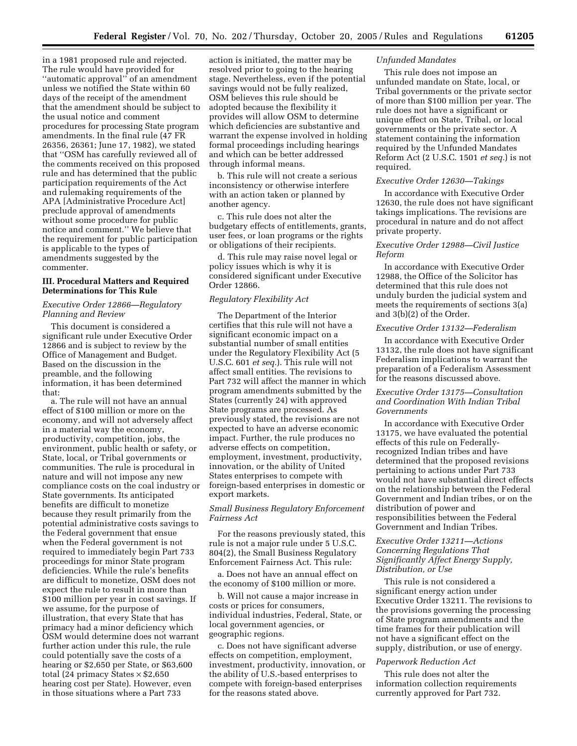in a 1981 proposed rule and rejected. The rule would have provided for ''automatic approval'' of an amendment unless we notified the State within 60 days of the receipt of the amendment that the amendment should be subject to the usual notice and comment procedures for processing State program amendments. In the final rule (47 FR 26356, 26361; June 17, 1982), we stated that ''OSM has carefully reviewed all of the comments received on this proposed rule and has determined that the public participation requirements of the Act and rulemaking requirements of the APA [Administrative Procedure Act] preclude approval of amendments without some procedure for public notice and comment.'' We believe that the requirement for public participation is applicable to the types of amendments suggested by the commenter.

# **III. Procedural Matters and Required Determinations for This Rule**

# *Executive Order 12866—Regulatory Planning and Review*

This document is considered a significant rule under Executive Order 12866 and is subject to review by the Office of Management and Budget. Based on the discussion in the preamble, and the following information, it has been determined that:

a. The rule will not have an annual effect of \$100 million or more on the economy, and will not adversely affect in a material way the economy, productivity, competition, jobs, the environment, public health or safety, or State, local, or Tribal governments or communities. The rule is procedural in nature and will not impose any new compliance costs on the coal industry or State governments. Its anticipated benefits are difficult to monetize because they result primarily from the potential administrative costs savings to the Federal government that ensue when the Federal government is not required to immediately begin Part 733 proceedings for minor State program deficiencies. While the rule's benefits are difficult to monetize, OSM does not expect the rule to result in more than \$100 million per year in cost savings. If we assume, for the purpose of illustration, that every State that has primacy had a minor deficiency which OSM would determine does not warrant further action under this rule, the rule could potentially save the costs of a hearing or \$2,650 per State, or \$63,600 total (24 primacy States × \$2,650 hearing cost per State). However, even in those situations where a Part 733

action is initiated, the matter may be resolved prior to going to the hearing stage. Nevertheless, even if the potential savings would not be fully realized, OSM believes this rule should be adopted because the flexibility it provides will allow OSM to determine which deficiencies are substantive and warrant the expense involved in holding formal proceedings including hearings and which can be better addressed through informal means.

b. This rule will not create a serious inconsistency or otherwise interfere with an action taken or planned by another agency.

c. This rule does not alter the budgetary effects of entitlements, grants, user fees, or loan programs or the rights or obligations of their recipients.

d. This rule may raise novel legal or policy issues which is why it is considered significant under Executive Order 12866.

# *Regulatory Flexibility Act*

The Department of the Interior certifies that this rule will not have a significant economic impact on a substantial number of small entities under the Regulatory Flexibility Act (5 U.S.C. 601 *et seq.*). This rule will not affect small entities. The revisions to Part 732 will affect the manner in which program amendments submitted by the States (currently 24) with approved State programs are processed. As previously stated, the revisions are not expected to have an adverse economic impact. Further, the rule produces no adverse effects on competition, employment, investment, productivity, innovation, or the ability of United States enterprises to compete with foreign-based enterprises in domestic or export markets.

# *Small Business Regulatory Enforcement Fairness Act*

For the reasons previously stated, this rule is not a major rule under 5 U.S.C. 804(2), the Small Business Regulatory Enforcement Fairness Act. This rule:

a. Does not have an annual effect on the economy of \$100 million or more.

b. Will not cause a major increase in costs or prices for consumers, individual industries, Federal, State, or local government agencies, or geographic regions.

c. Does not have significant adverse effects on competition, employment, investment, productivity, innovation, or the ability of U.S.-based enterprises to compete with foreign-based enterprises for the reasons stated above.

# *Unfunded Mandates*

This rule does not impose an unfunded mandate on State, local, or Tribal governments or the private sector of more than \$100 million per year. The rule does not have a significant or unique effect on State, Tribal, or local governments or the private sector. A statement containing the information required by the Unfunded Mandates Reform Act (2 U.S.C. 1501 *et seq.*) is not required.

#### *Executive Order 12630—Takings*

In accordance with Executive Order 12630, the rule does not have significant takings implications. The revisions are procedural in nature and do not affect private property.

# *Executive Order 12988—Civil Justice Reform*

In accordance with Executive Order 12988, the Office of the Solicitor has determined that this rule does not unduly burden the judicial system and meets the requirements of sections 3(a) and 3(b)(2) of the Order.

#### *Executive Order 13132—Federalism*

In accordance with Executive Order 13132, the rule does not have significant Federalism implications to warrant the preparation of a Federalism Assessment for the reasons discussed above.

# *Executive Order 13175—Consultation and Coordination With Indian Tribal Governments*

In accordance with Executive Order 13175, we have evaluated the potential effects of this rule on Federallyrecognized Indian tribes and have determined that the proposed revisions pertaining to actions under Part 733 would not have substantial direct effects on the relationship between the Federal Government and Indian tribes, or on the distribution of power and responsibilities between the Federal Government and Indian Tribes.

# *Executive Order 13211—Actions Concerning Regulations That Significantly Affect Energy Supply, Distribution, or Use*

This rule is not considered a significant energy action under Executive Order 13211. The revisions to the provisions governing the processing of State program amendments and the time frames for their publication will not have a significant effect on the supply, distribution, or use of energy.

#### *Paperwork Reduction Act*

This rule does not alter the information collection requirements currently approved for Part 732.